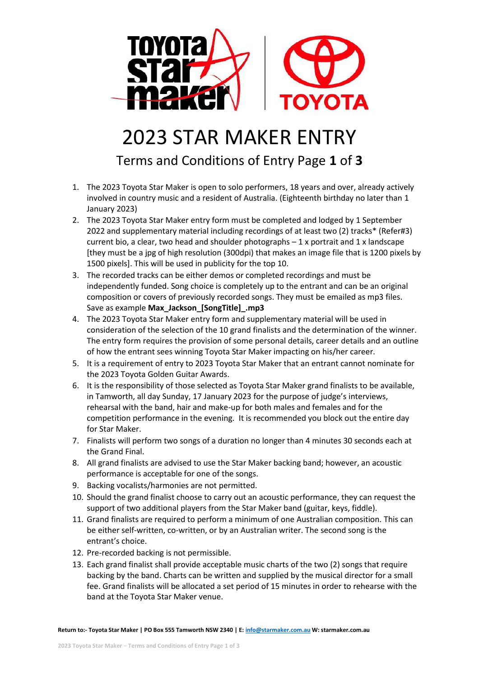

## 2023 STAR MAKER ENTRY

Terms and Conditions of Entry Page **1** of **3**

- 1. The 2023 Toyota Star Maker is open to solo performers, 18 years and over, already actively involved in country music and a resident of Australia. (Eighteenth birthday no later than 1 January 2023)
- 2. The 2023 Toyota Star Maker entry form must be completed and lodged by 1 September 2022 and supplementary material including recordings of at least two (2) tracks\* (Refer#3) current bio, a clear, two head and shoulder photographs – 1 x portrait and 1 x landscape [they must be a jpg of high resolution (300dpi) that makes an image file that is 1200 pixels by 1500 pixels]. This will be used in publicity for the top 10.
- 3. The recorded tracks can be either demos or completed recordings and must be independently funded. Song choice is completely up to the entrant and can be an original composition or covers of previously recorded songs. They must be emailed as mp3 files. Save as example **Max\_Jackson\_[SongTitle]\_.mp3**
- 4. The 2023 Toyota Star Maker entry form and supplementary material will be used in consideration of the selection of the 10 grand finalists and the determination of the winner. The entry form requires the provision of some personal details, career details and an outline of how the entrant sees winning Toyota Star Maker impacting on his/her career.
- 5. It is a requirement of entry to 2023 Toyota Star Maker that an entrant cannot nominate for the 2023 Toyota Golden Guitar Awards.
- 6. It is the responsibility of those selected as Toyota Star Maker grand finalists to be available, in Tamworth, all day Sunday, 17 January 2023 for the purpose of judge's interviews, rehearsal with the band, hair and make-up for both males and females and for the competition performance in the evening. It is recommended you block out the entire day for Star Maker.
- 7. Finalists will perform two songs of a duration no longer than 4 minutes 30 seconds each at the Grand Final.
- 8. All grand finalists are advised to use the Star Maker backing band; however, an acoustic performance is acceptable for one of the songs.
- 9. Backing vocalists/harmonies are not permitted.
- 10. Should the grand finalist choose to carry out an acoustic performance, they can request the support of two additional players from the Star Maker band (guitar, keys, fiddle).
- 11. Grand finalists are required to perform a minimum of one Australian composition. This can be either self-written, co-written, or by an Australian writer. The second song is the entrant's choice.
- 12. Pre-recorded backing is not permissible.
- 13. Each grand finalist shall provide acceptable music charts of the two (2) songs that require backing by the band. Charts can be written and supplied by the musical director for a small fee. Grand finalists will be allocated a set period of 15 minutes in order to rehearse with the band at the Toyota Star Maker venue.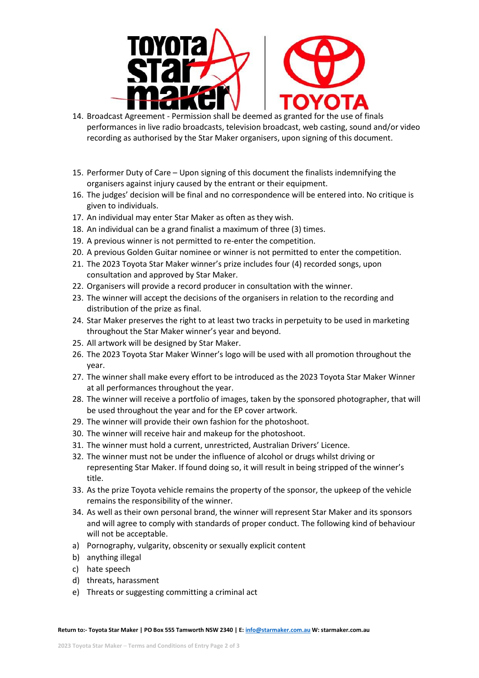

- 14. Broadcast Agreement Permission shall be deemed as granted for the use of finals performances in live radio broadcasts, television broadcast, web casting, sound and/or video recording as authorised by the Star Maker organisers, upon signing of this document.
- 15. Performer Duty of Care Upon signing of this document the finalists indemnifying the organisers against injury caused by the entrant or their equipment.
- 16. The judges' decision will be final and no correspondence will be entered into. No critique is given to individuals.
- 17. An individual may enter Star Maker as often as they wish.
- 18. An individual can be a grand finalist a maximum of three (3) times.
- 19. A previous winner is not permitted to re-enter the competition.
- 20. A previous Golden Guitar nominee or winner is not permitted to enter the competition.
- 21. The 2023 Toyota Star Maker winner's prize includes four (4) recorded songs, upon consultation and approved by Star Maker.
- 22. Organisers will provide a record producer in consultation with the winner.
- 23. The winner will accept the decisions of the organisers in relation to the recording and distribution of the prize as final.
- 24. Star Maker preserves the right to at least two tracks in perpetuity to be used in marketing throughout the Star Maker winner's year and beyond.
- 25. All artwork will be designed by Star Maker.
- 26. The 2023 Toyota Star Maker Winner's logo will be used with all promotion throughout the year.
- 27. The winner shall make every effort to be introduced as the 2023 Toyota Star Maker Winner at all performances throughout the year.
- 28. The winner will receive a portfolio of images, taken by the sponsored photographer, that will be used throughout the year and for the EP cover artwork.
- 29. The winner will provide their own fashion for the photoshoot.
- 30. The winner will receive hair and makeup for the photoshoot.
- 31. The winner must hold a current, unrestricted, Australian Drivers' Licence.
- 32. The winner must not be under the influence of alcohol or drugs whilst driving or representing Star Maker. If found doing so, it will result in being stripped of the winner's title.
- 33. As the prize Toyota vehicle remains the property of the sponsor, the upkeep of the vehicle remains the responsibility of the winner.
- 34. As well as their own personal brand, the winner will represent Star Maker and its sponsors and will agree to comply with standards of proper conduct. The following kind of behaviour will not be acceptable.
- a) Pornography, vulgarity, obscenity or sexually explicit content
- b) anything illegal
- c) hate speech
- d) threats, harassment
- e) Threats or suggesting committing a criminal act